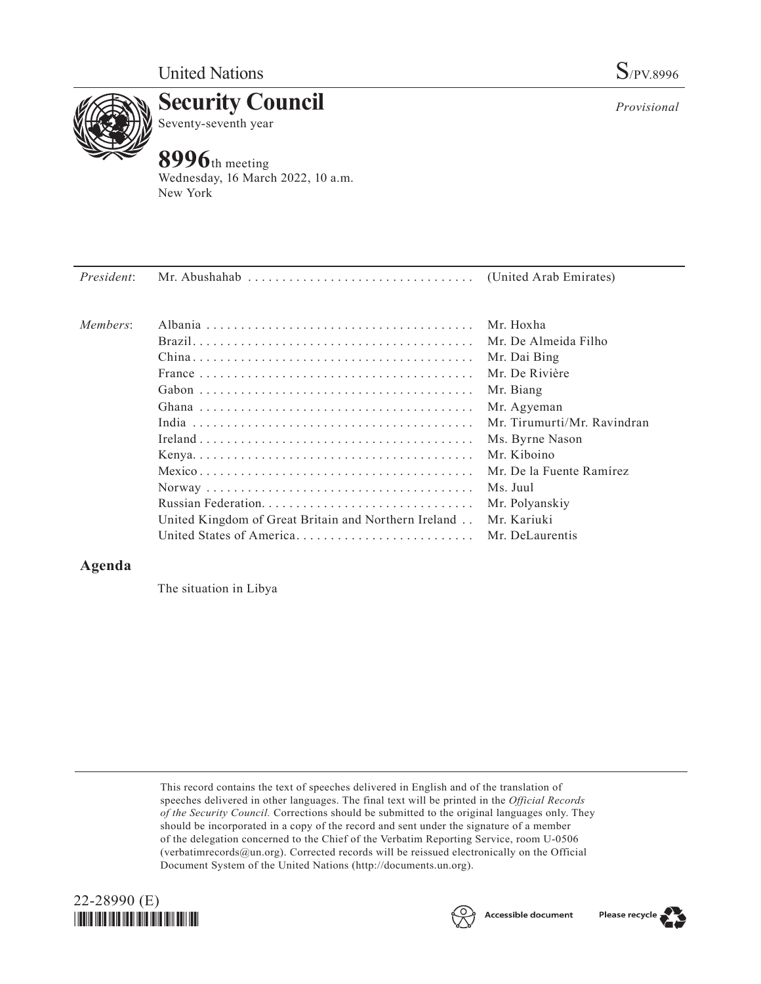

**Security Council** Seventy-seventh year

# **8996**th meeting

Wednesday, 16 March 2022, 10 a.m. New York

| President: |                                                      |                             |
|------------|------------------------------------------------------|-----------------------------|
| Members:   |                                                      | Mr. Hoxha                   |
|            |                                                      | Mr. De Almeida Filho        |
|            |                                                      | Mr. Dai Bing                |
|            |                                                      | Mr. De Rivière              |
|            |                                                      | Mr. Biang                   |
|            |                                                      | Mr. Agyeman                 |
|            |                                                      | Mr. Tirumurti/Mr. Ravindran |
|            |                                                      | Ms. Byrne Nason             |
|            |                                                      | Mr. Kiboino                 |
|            |                                                      | Mr. De la Fuente Ramírez    |
|            |                                                      | Ms. Juul                    |
|            |                                                      | Mr. Polyanskiy              |
|            | United Kingdom of Great Britain and Northern Ireland | Mr. Kariuki                 |
|            | United States of America                             | Mr. DeLaurentis             |
|            |                                                      |                             |

# **Agenda**

The situation in Libya

This record contains the text of speeches delivered in English and of the translation of speeches delivered in other languages. The final text will be printed in the *Official Records of the Security Council.* Corrections should be submitted to the original languages only. They should be incorporated in a copy of the record and sent under the signature of a member of the delegation concerned to the Chief of the Verbatim Reporting Service, room U-0506 (verbatimrecords@un.org). Corrected records will be reissued electronically on the Official Document System of the United Nations (http://documents.un.org).







*Provisional*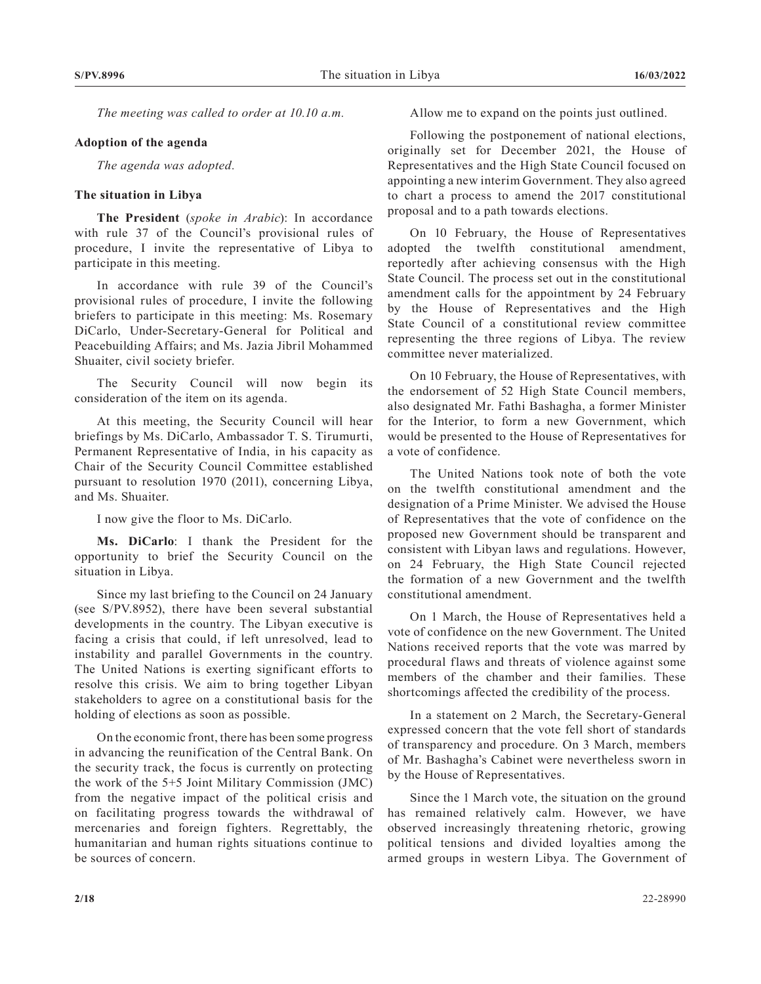*The meeting was called to order at 10.10 a.m.*

#### **Adoption of the agenda**

*The agenda was adopted.*

## **The situation in Libya**

**The President** (*spoke in Arabic*): In accordance with rule 37 of the Council's provisional rules of procedure, I invite the representative of Libya to participate in this meeting.

In accordance with rule 39 of the Council's provisional rules of procedure, I invite the following briefers to participate in this meeting: Ms. Rosemary DiCarlo, Under-Secretary-General for Political and Peacebuilding Affairs; and Ms. Jazia Jibril Mohammed Shuaiter, civil society briefer.

The Security Council will now begin its consideration of the item on its agenda.

At this meeting, the Security Council will hear briefings by Ms. DiCarlo, Ambassador T. S. Tirumurti, Permanent Representative of India, in his capacity as Chair of the Security Council Committee established pursuant to resolution 1970 (2011), concerning Libya, and Ms. Shuaiter.

I now give the floor to Ms. DiCarlo.

**Ms. DiCarlo**: I thank the President for the opportunity to brief the Security Council on the situation in Libya.

Since my last briefing to the Council on 24 January (see S/PV.8952), there have been several substantial developments in the country. The Libyan executive is facing a crisis that could, if left unresolved, lead to instability and parallel Governments in the country. The United Nations is exerting significant efforts to resolve this crisis. We aim to bring together Libyan stakeholders to agree on a constitutional basis for the holding of elections as soon as possible.

On the economic front, there has been some progress in advancing the reunification of the Central Bank. On the security track, the focus is currently on protecting the work of the 5+5 Joint Military Commission (JMC) from the negative impact of the political crisis and on facilitating progress towards the withdrawal of mercenaries and foreign fighters. Regrettably, the humanitarian and human rights situations continue to be sources of concern.

Allow me to expand on the points just outlined.

Following the postponement of national elections, originally set for December 2021, the House of Representatives and the High State Council focused on appointing a new interim Government. They also agreed to chart a process to amend the 2017 constitutional proposal and to a path towards elections.

On 10 February, the House of Representatives adopted the twelfth constitutional amendment, reportedly after achieving consensus with the High State Council. The process set out in the constitutional amendment calls for the appointment by 24 February by the House of Representatives and the High State Council of a constitutional review committee representing the three regions of Libya. The review committee never materialized.

On 10 February, the House of Representatives, with the endorsement of 52 High State Council members, also designated Mr. Fathi Bashagha, a former Minister for the Interior, to form a new Government, which would be presented to the House of Representatives for a vote of confidence.

The United Nations took note of both the vote on the twelfth constitutional amendment and the designation of a Prime Minister. We advised the House of Representatives that the vote of confidence on the proposed new Government should be transparent and consistent with Libyan laws and regulations. However, on 24 February, the High State Council rejected the formation of a new Government and the twelfth constitutional amendment.

On 1 March, the House of Representatives held a vote of confidence on the new Government. The United Nations received reports that the vote was marred by procedural flaws and threats of violence against some members of the chamber and their families. These shortcomings affected the credibility of the process.

In a statement on 2 March, the Secretary-General expressed concern that the vote fell short of standards of transparency and procedure. On 3 March, members of Mr. Bashagha's Cabinet were nevertheless sworn in by the House of Representatives.

Since the 1 March vote, the situation on the ground has remained relatively calm. However, we have observed increasingly threatening rhetoric, growing political tensions and divided loyalties among the armed groups in western Libya. The Government of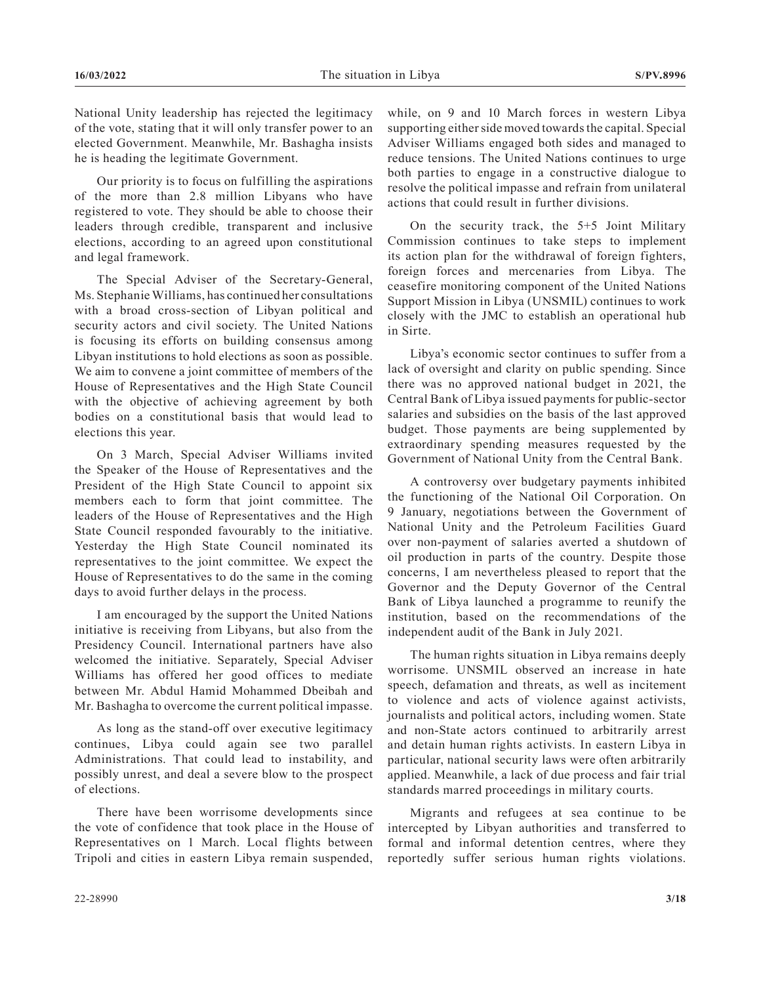National Unity leadership has rejected the legitimacy of the vote, stating that it will only transfer power to an elected Government. Meanwhile, Mr. Bashagha insists he is heading the legitimate Government.

Our priority is to focus on fulfilling the aspirations of the more than 2.8 million Libyans who have registered to vote. They should be able to choose their leaders through credible, transparent and inclusive elections, according to an agreed upon constitutional and legal framework.

The Special Adviser of the Secretary-General, Ms. Stephanie Williams, has continued her consultations with a broad cross-section of Libyan political and security actors and civil society. The United Nations is focusing its efforts on building consensus among Libyan institutions to hold elections as soon as possible. We aim to convene a joint committee of members of the House of Representatives and the High State Council with the objective of achieving agreement by both bodies on a constitutional basis that would lead to elections this year.

On 3 March, Special Adviser Williams invited the Speaker of the House of Representatives and the President of the High State Council to appoint six members each to form that joint committee. The leaders of the House of Representatives and the High State Council responded favourably to the initiative. Yesterday the High State Council nominated its representatives to the joint committee. We expect the House of Representatives to do the same in the coming days to avoid further delays in the process.

I am encouraged by the support the United Nations initiative is receiving from Libyans, but also from the Presidency Council. International partners have also welcomed the initiative. Separately, Special Adviser Williams has offered her good offices to mediate between Mr. Abdul Hamid Mohammed Dbeibah and Mr. Bashagha to overcome the current political impasse.

As long as the stand-off over executive legitimacy continues, Libya could again see two parallel Administrations. That could lead to instability, and possibly unrest, and deal a severe blow to the prospect of elections.

There have been worrisome developments since the vote of confidence that took place in the House of Representatives on 1 March. Local flights between Tripoli and cities in eastern Libya remain suspended,

while, on 9 and 10 March forces in western Libya supporting either side moved towards the capital. Special Adviser Williams engaged both sides and managed to reduce tensions. The United Nations continues to urge both parties to engage in a constructive dialogue to resolve the political impasse and refrain from unilateral actions that could result in further divisions.

On the security track, the 5+5 Joint Military Commission continues to take steps to implement its action plan for the withdrawal of foreign fighters, foreign forces and mercenaries from Libya. The ceasefire monitoring component of the United Nations Support Mission in Libya (UNSMIL) continues to work closely with the JMC to establish an operational hub in Sirte.

Libya's economic sector continues to suffer from a lack of oversight and clarity on public spending. Since there was no approved national budget in 2021, the Central Bank of Libya issued payments for public-sector salaries and subsidies on the basis of the last approved budget. Those payments are being supplemented by extraordinary spending measures requested by the Government of National Unity from the Central Bank.

A controversy over budgetary payments inhibited the functioning of the National Oil Corporation. On 9 January, negotiations between the Government of National Unity and the Petroleum Facilities Guard over non-payment of salaries averted a shutdown of oil production in parts of the country. Despite those concerns, I am nevertheless pleased to report that the Governor and the Deputy Governor of the Central Bank of Libya launched a programme to reunify the institution, based on the recommendations of the independent audit of the Bank in July 2021.

The human rights situation in Libya remains deeply worrisome. UNSMIL observed an increase in hate speech, defamation and threats, as well as incitement to violence and acts of violence against activists, journalists and political actors, including women. State and non-State actors continued to arbitrarily arrest and detain human rights activists. In eastern Libya in particular, national security laws were often arbitrarily applied. Meanwhile, a lack of due process and fair trial standards marred proceedings in military courts.

Migrants and refugees at sea continue to be intercepted by Libyan authorities and transferred to formal and informal detention centres, where they reportedly suffer serious human rights violations.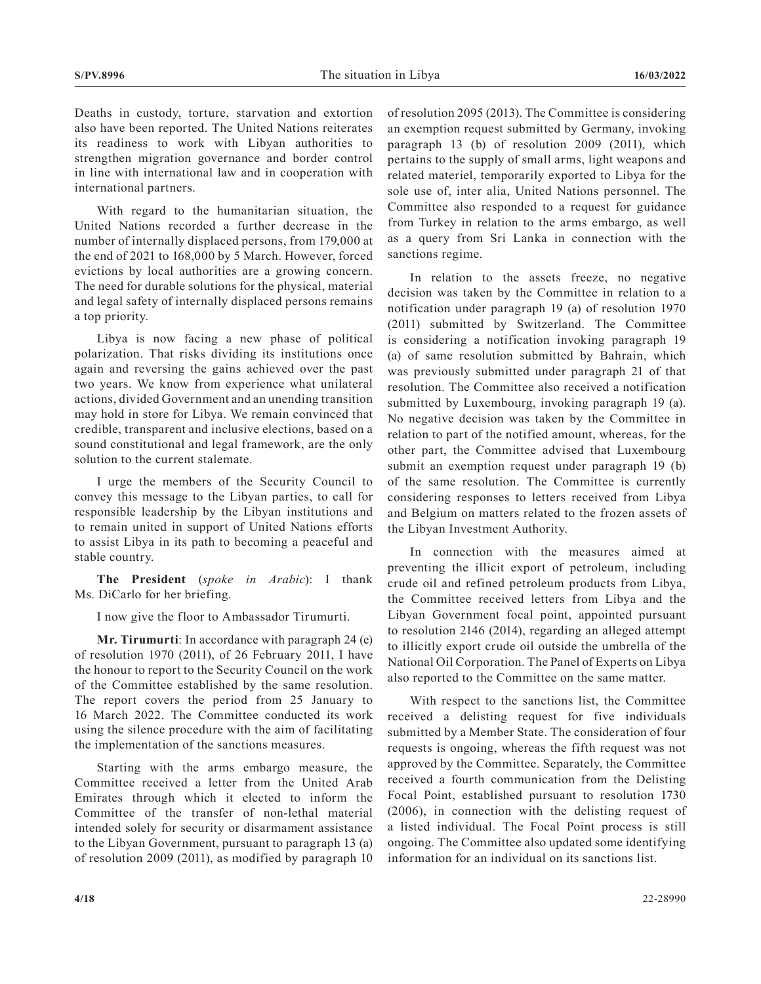Deaths in custody, torture, starvation and extortion also have been reported. The United Nations reiterates its readiness to work with Libyan authorities to strengthen migration governance and border control in line with international law and in cooperation with international partners.

With regard to the humanitarian situation, the United Nations recorded a further decrease in the number of internally displaced persons, from 179,000 at the end of 2021 to 168,000 by 5 March. However, forced evictions by local authorities are a growing concern. The need for durable solutions for the physical, material and legal safety of internally displaced persons remains a top priority.

Libya is now facing a new phase of political polarization. That risks dividing its institutions once again and reversing the gains achieved over the past two years. We know from experience what unilateral actions, divided Government and an unending transition may hold in store for Libya. We remain convinced that credible, transparent and inclusive elections, based on a sound constitutional and legal framework, are the only solution to the current stalemate.

I urge the members of the Security Council to convey this message to the Libyan parties, to call for responsible leadership by the Libyan institutions and to remain united in support of United Nations efforts to assist Libya in its path to becoming a peaceful and stable country.

**The President** (*spoke in Arabic*): I thank Ms. DiCarlo for her briefing.

I now give the floor to Ambassador Tirumurti.

**Mr. Tirumurti**: In accordance with paragraph 24 (e) of resolution 1970 (2011), of 26 February 2011, I have the honour to report to the Security Council on the work of the Committee established by the same resolution. The report covers the period from 25 January to 16 March 2022. The Committee conducted its work using the silence procedure with the aim of facilitating the implementation of the sanctions measures.

Starting with the arms embargo measure, the Committee received a letter from the United Arab Emirates through which it elected to inform the Committee of the transfer of non-lethal material intended solely for security or disarmament assistance to the Libyan Government, pursuant to paragraph 13 (a) of resolution 2009 (2011), as modified by paragraph 10 of resolution 2095 (2013). The Committee is considering an exemption request submitted by Germany, invoking paragraph 13 (b) of resolution 2009 (2011), which pertains to the supply of small arms, light weapons and related materiel, temporarily exported to Libya for the sole use of, inter alia, United Nations personnel. The Committee also responded to a request for guidance from Turkey in relation to the arms embargo, as well as a query from Sri Lanka in connection with the sanctions regime.

In relation to the assets freeze, no negative decision was taken by the Committee in relation to a notification under paragraph 19 (a) of resolution 1970 (2011) submitted by Switzerland. The Committee is considering a notification invoking paragraph 19 (a) of same resolution submitted by Bahrain, which was previously submitted under paragraph 21 of that resolution. The Committee also received a notification submitted by Luxembourg, invoking paragraph 19 (a). No negative decision was taken by the Committee in relation to part of the notified amount, whereas, for the other part, the Committee advised that Luxembourg submit an exemption request under paragraph 19 (b) of the same resolution. The Committee is currently considering responses to letters received from Libya and Belgium on matters related to the frozen assets of the Libyan Investment Authority.

In connection with the measures aimed at preventing the illicit export of petroleum, including crude oil and refined petroleum products from Libya, the Committee received letters from Libya and the Libyan Government focal point, appointed pursuant to resolution 2146 (2014), regarding an alleged attempt to illicitly export crude oil outside the umbrella of the National Oil Corporation. The Panel of Experts on Libya also reported to the Committee on the same matter.

With respect to the sanctions list, the Committee received a delisting request for five individuals submitted by a Member State. The consideration of four requests is ongoing, whereas the fifth request was not approved by the Committee. Separately, the Committee received a fourth communication from the Delisting Focal Point, established pursuant to resolution 1730 (2006), in connection with the delisting request of a listed individual. The Focal Point process is still ongoing. The Committee also updated some identifying information for an individual on its sanctions list.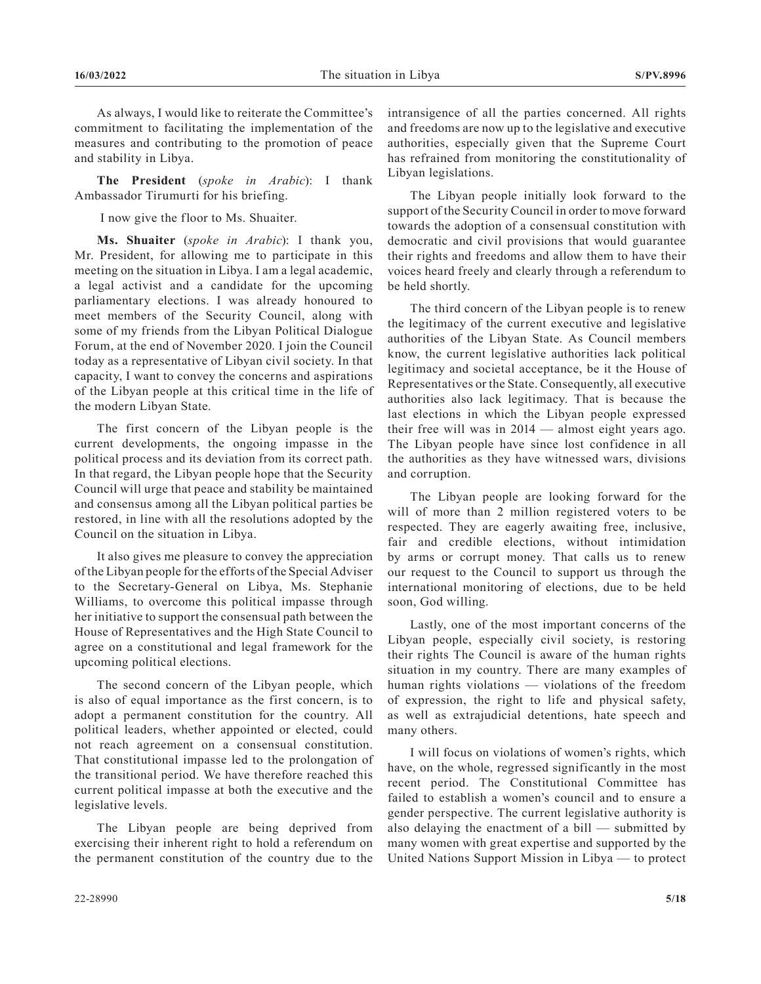As always, I would like to reiterate the Committee's commitment to facilitating the implementation of the measures and contributing to the promotion of peace and stability in Libya.

**The President** (*spoke in Arabic*): I thank Ambassador Tirumurti for his briefing.

I now give the floor to Ms. Shuaiter.

**Ms. Shuaiter** (*spoke in Arabic*): I thank you, Mr. President, for allowing me to participate in this meeting on the situation in Libya. I am a legal academic, a legal activist and a candidate for the upcoming parliamentary elections. I was already honoured to meet members of the Security Council, along with some of my friends from the Libyan Political Dialogue Forum, at the end of November 2020. I join the Council today as a representative of Libyan civil society. In that capacity, I want to convey the concerns and aspirations of the Libyan people at this critical time in the life of the modern Libyan State.

The first concern of the Libyan people is the current developments, the ongoing impasse in the political process and its deviation from its correct path. In that regard, the Libyan people hope that the Security Council will urge that peace and stability be maintained and consensus among all the Libyan political parties be restored, in line with all the resolutions adopted by the Council on the situation in Libya.

It also gives me pleasure to convey the appreciation of the Libyan people for the efforts of the Special Adviser to the Secretary-General on Libya, Ms. Stephanie Williams, to overcome this political impasse through her initiative to support the consensual path between the House of Representatives and the High State Council to agree on a constitutional and legal framework for the upcoming political elections.

The second concern of the Libyan people, which is also of equal importance as the first concern, is to adopt a permanent constitution for the country. All political leaders, whether appointed or elected, could not reach agreement on a consensual constitution. That constitutional impasse led to the prolongation of the transitional period. We have therefore reached this current political impasse at both the executive and the legislative levels.

The Libyan people are being deprived from exercising their inherent right to hold a referendum on the permanent constitution of the country due to the intransigence of all the parties concerned. All rights and freedoms are now up to the legislative and executive authorities, especially given that the Supreme Court has refrained from monitoring the constitutionality of Libyan legislations.

The Libyan people initially look forward to the support of the Security Council in order to move forward towards the adoption of a consensual constitution with democratic and civil provisions that would guarantee their rights and freedoms and allow them to have their voices heard freely and clearly through a referendum to be held shortly.

The third concern of the Libyan people is to renew the legitimacy of the current executive and legislative authorities of the Libyan State. As Council members know, the current legislative authorities lack political legitimacy and societal acceptance, be it the House of Representatives or the State. Consequently, all executive authorities also lack legitimacy. That is because the last elections in which the Libyan people expressed their free will was in 2014 — almost eight years ago. The Libyan people have since lost confidence in all the authorities as they have witnessed wars, divisions and corruption.

The Libyan people are looking forward for the will of more than 2 million registered voters to be respected. They are eagerly awaiting free, inclusive, fair and credible elections, without intimidation by arms or corrupt money. That calls us to renew our request to the Council to support us through the international monitoring of elections, due to be held soon, God willing.

Lastly, one of the most important concerns of the Libyan people, especially civil society, is restoring their rights The Council is aware of the human rights situation in my country. There are many examples of human rights violations — violations of the freedom of expression, the right to life and physical safety, as well as extrajudicial detentions, hate speech and many others.

I will focus on violations of women's rights, which have, on the whole, regressed significantly in the most recent period. The Constitutional Committee has failed to establish a women's council and to ensure a gender perspective. The current legislative authority is also delaying the enactment of a bill — submitted by many women with great expertise and supported by the United Nations Support Mission in Libya — to protect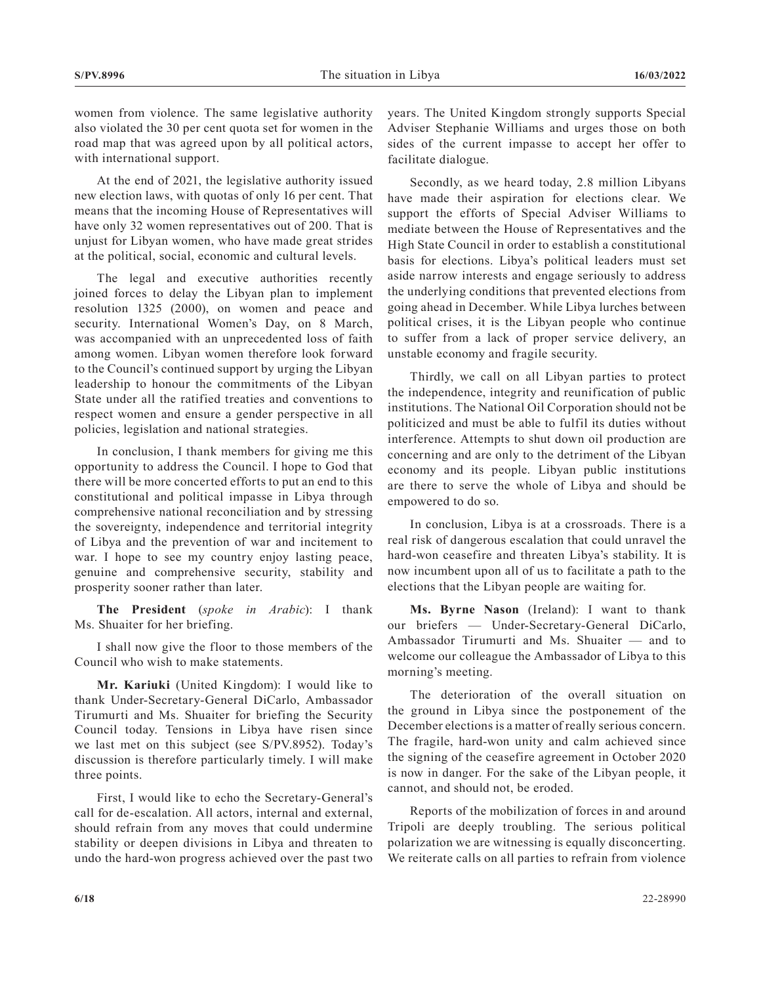women from violence. The same legislative authority also violated the 30 per cent quota set for women in the road map that was agreed upon by all political actors, with international support.

At the end of 2021, the legislative authority issued new election laws, with quotas of only 16 per cent. That means that the incoming House of Representatives will have only 32 women representatives out of 200. That is unjust for Libyan women, who have made great strides at the political, social, economic and cultural levels.

The legal and executive authorities recently joined forces to delay the Libyan plan to implement resolution 1325 (2000), on women and peace and security. International Women's Day, on 8 March, was accompanied with an unprecedented loss of faith among women. Libyan women therefore look forward to the Council's continued support by urging the Libyan leadership to honour the commitments of the Libyan State under all the ratified treaties and conventions to respect women and ensure a gender perspective in all policies, legislation and national strategies.

In conclusion, I thank members for giving me this opportunity to address the Council. I hope to God that there will be more concerted efforts to put an end to this constitutional and political impasse in Libya through comprehensive national reconciliation and by stressing the sovereignty, independence and territorial integrity of Libya and the prevention of war and incitement to war. I hope to see my country enjoy lasting peace, genuine and comprehensive security, stability and prosperity sooner rather than later.

**The President** (*spoke in Arabic*): I thank Ms. Shuaiter for her briefing.

I shall now give the floor to those members of the Council who wish to make statements.

**Mr. Kariuki** (United Kingdom): I would like to thank Under-Secretary-General DiCarlo, Ambassador Tirumurti and Ms. Shuaiter for briefing the Security Council today. Tensions in Libya have risen since we last met on this subject (see S/PV.8952). Today's discussion is therefore particularly timely. I will make three points.

First, I would like to echo the Secretary-General's call for de-escalation. All actors, internal and external, should refrain from any moves that could undermine stability or deepen divisions in Libya and threaten to undo the hard-won progress achieved over the past two years. The United Kingdom strongly supports Special Adviser Stephanie Williams and urges those on both sides of the current impasse to accept her offer to facilitate dialogue.

Secondly, as we heard today, 2.8 million Libyans have made their aspiration for elections clear. We support the efforts of Special Adviser Williams to mediate between the House of Representatives and the High State Council in order to establish a constitutional basis for elections. Libya's political leaders must set aside narrow interests and engage seriously to address the underlying conditions that prevented elections from going ahead in December. While Libya lurches between political crises, it is the Libyan people who continue to suffer from a lack of proper service delivery, an unstable economy and fragile security.

Thirdly, we call on all Libyan parties to protect the independence, integrity and reunification of public institutions. The National Oil Corporation should not be politicized and must be able to fulfil its duties without interference. Attempts to shut down oil production are concerning and are only to the detriment of the Libyan economy and its people. Libyan public institutions are there to serve the whole of Libya and should be empowered to do so.

In conclusion, Libya is at a crossroads. There is a real risk of dangerous escalation that could unravel the hard-won ceasefire and threaten Libya's stability. It is now incumbent upon all of us to facilitate a path to the elections that the Libyan people are waiting for.

**Ms. Byrne Nason** (Ireland): I want to thank our briefers — Under-Secretary-General DiCarlo, Ambassador Tirumurti and Ms. Shuaiter — and to welcome our colleague the Ambassador of Libya to this morning's meeting.

The deterioration of the overall situation on the ground in Libya since the postponement of the December elections is a matter of really serious concern. The fragile, hard-won unity and calm achieved since the signing of the ceasefire agreement in October 2020 is now in danger. For the sake of the Libyan people, it cannot, and should not, be eroded.

Reports of the mobilization of forces in and around Tripoli are deeply troubling. The serious political polarization we are witnessing is equally disconcerting. We reiterate calls on all parties to refrain from violence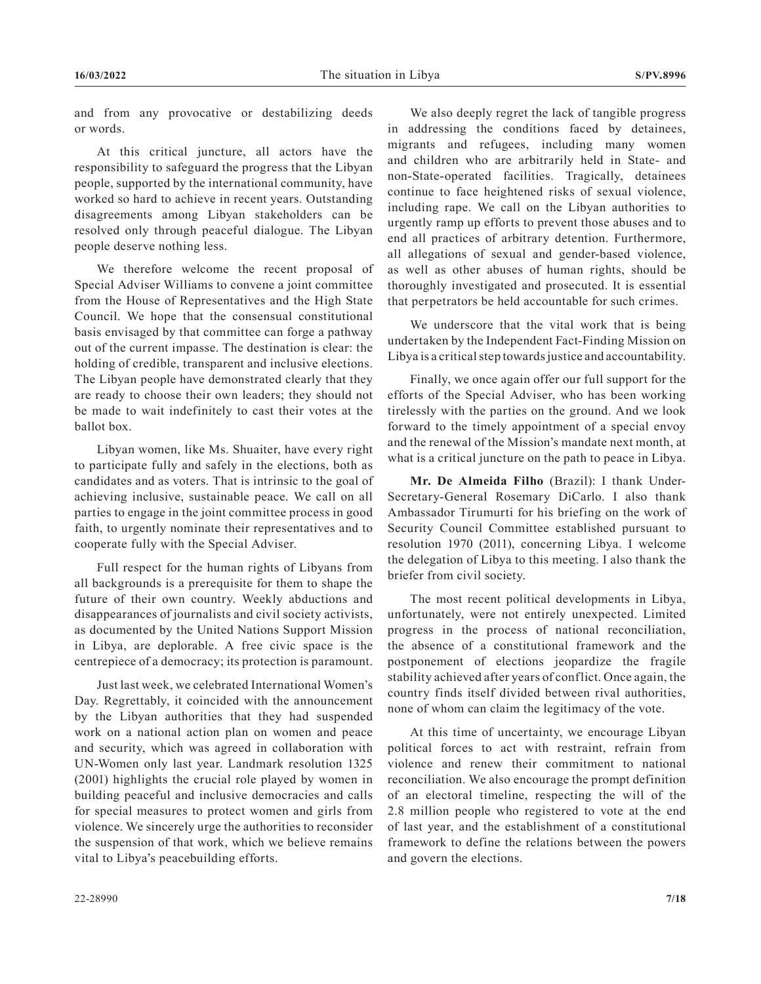and from any provocative or destabilizing deeds or words.

At this critical juncture, all actors have the responsibility to safeguard the progress that the Libyan people, supported by the international community, have worked so hard to achieve in recent years. Outstanding disagreements among Libyan stakeholders can be resolved only through peaceful dialogue. The Libyan people deserve nothing less.

We therefore welcome the recent proposal of Special Adviser Williams to convene a joint committee from the House of Representatives and the High State Council. We hope that the consensual constitutional basis envisaged by that committee can forge a pathway out of the current impasse. The destination is clear: the holding of credible, transparent and inclusive elections. The Libyan people have demonstrated clearly that they are ready to choose their own leaders; they should not be made to wait indefinitely to cast their votes at the ballot box.

Libyan women, like Ms. Shuaiter, have every right to participate fully and safely in the elections, both as candidates and as voters. That is intrinsic to the goal of achieving inclusive, sustainable peace. We call on all parties to engage in the joint committee process in good faith, to urgently nominate their representatives and to cooperate fully with the Special Adviser.

Full respect for the human rights of Libyans from all backgrounds is a prerequisite for them to shape the future of their own country. Weekly abductions and disappearances of journalists and civil society activists, as documented by the United Nations Support Mission in Libya, are deplorable. A free civic space is the centrepiece of a democracy; its protection is paramount.

Just last week, we celebrated International Women's Day. Regrettably, it coincided with the announcement by the Libyan authorities that they had suspended work on a national action plan on women and peace and security, which was agreed in collaboration with UN-Women only last year. Landmark resolution 1325 (2001) highlights the crucial role played by women in building peaceful and inclusive democracies and calls for special measures to protect women and girls from violence. We sincerely urge the authorities to reconsider the suspension of that work, which we believe remains vital to Libya's peacebuilding efforts.

We also deeply regret the lack of tangible progress in addressing the conditions faced by detainees, migrants and refugees, including many women and children who are arbitrarily held in State- and non-State-operated facilities. Tragically, detainees continue to face heightened risks of sexual violence, including rape. We call on the Libyan authorities to urgently ramp up efforts to prevent those abuses and to end all practices of arbitrary detention. Furthermore, all allegations of sexual and gender-based violence, as well as other abuses of human rights, should be thoroughly investigated and prosecuted. It is essential that perpetrators be held accountable for such crimes.

We underscore that the vital work that is being undertaken by the Independent Fact-Finding Mission on Libya is a critical step towards justice and accountability.

Finally, we once again offer our full support for the efforts of the Special Adviser, who has been working tirelessly with the parties on the ground. And we look forward to the timely appointment of a special envoy and the renewal of the Mission's mandate next month, at what is a critical juncture on the path to peace in Libya.

**Mr. De Almeida Filho** (Brazil): I thank Under-Secretary-General Rosemary DiCarlo. I also thank Ambassador Tirumurti for his briefing on the work of Security Council Committee established pursuant to resolution 1970 (2011), concerning Libya. I welcome the delegation of Libya to this meeting. I also thank the briefer from civil society.

The most recent political developments in Libya, unfortunately, were not entirely unexpected. Limited progress in the process of national reconciliation, the absence of a constitutional framework and the postponement of elections jeopardize the fragile stability achieved after years of conflict. Once again, the country finds itself divided between rival authorities, none of whom can claim the legitimacy of the vote.

At this time of uncertainty, we encourage Libyan political forces to act with restraint, refrain from violence and renew their commitment to national reconciliation. We also encourage the prompt definition of an electoral timeline, respecting the will of the 2.8 million people who registered to vote at the end of last year, and the establishment of a constitutional framework to define the relations between the powers and govern the elections.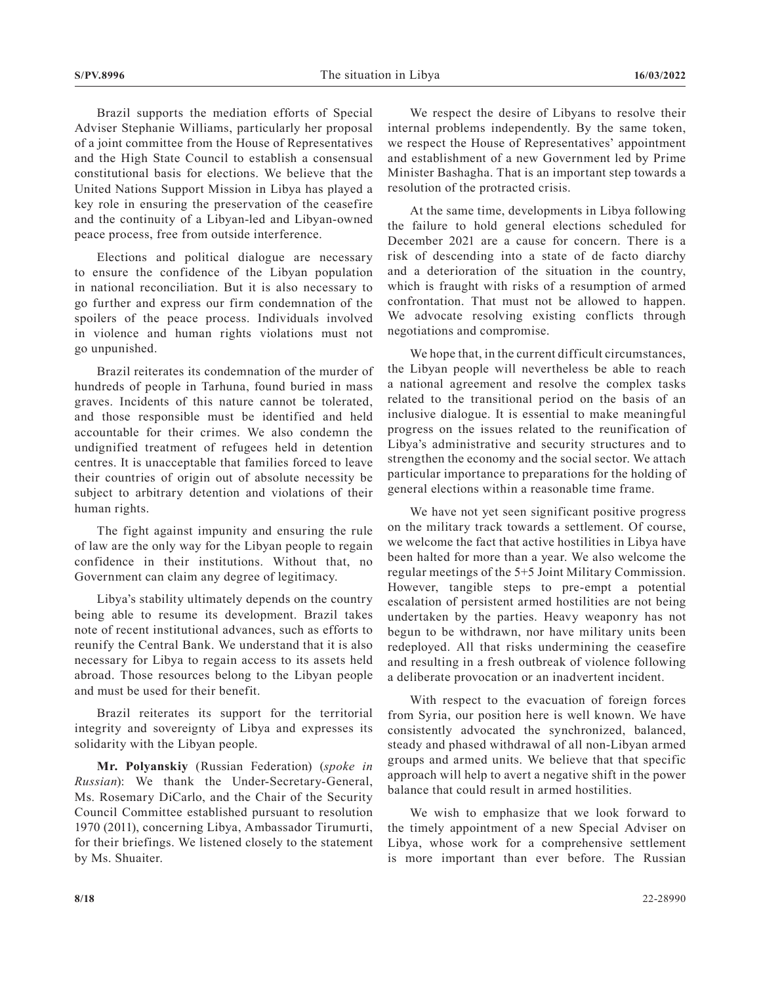Brazil supports the mediation efforts of Special Adviser Stephanie Williams, particularly her proposal of a joint committee from the House of Representatives and the High State Council to establish a consensual constitutional basis for elections. We believe that the United Nations Support Mission in Libya has played a key role in ensuring the preservation of the ceasefire and the continuity of a Libyan-led and Libyan-owned peace process, free from outside interference.

Elections and political dialogue are necessary to ensure the confidence of the Libyan population in national reconciliation. But it is also necessary to go further and express our firm condemnation of the spoilers of the peace process. Individuals involved in violence and human rights violations must not go unpunished.

Brazil reiterates its condemnation of the murder of hundreds of people in Tarhuna, found buried in mass graves. Incidents of this nature cannot be tolerated, and those responsible must be identified and held accountable for their crimes. We also condemn the undignified treatment of refugees held in detention centres. It is unacceptable that families forced to leave their countries of origin out of absolute necessity be subject to arbitrary detention and violations of their human rights.

The fight against impunity and ensuring the rule of law are the only way for the Libyan people to regain confidence in their institutions. Without that, no Government can claim any degree of legitimacy.

Libya's stability ultimately depends on the country being able to resume its development. Brazil takes note of recent institutional advances, such as efforts to reunify the Central Bank. We understand that it is also necessary for Libya to regain access to its assets held abroad. Those resources belong to the Libyan people and must be used for their benefit.

Brazil reiterates its support for the territorial integrity and sovereignty of Libya and expresses its solidarity with the Libyan people.

**Mr. Polyanskiy** (Russian Federation) (*spoke in Russian*): We thank the Under-Secretary-General, Ms. Rosemary DiCarlo, and the Chair of the Security Council Committee established pursuant to resolution 1970 (2011), concerning Libya, Ambassador Tirumurti, for their briefings. We listened closely to the statement by Ms. Shuaiter.

We respect the desire of Libyans to resolve their internal problems independently. By the same token, we respect the House of Representatives' appointment and establishment of a new Government led by Prime Minister Bashagha. That is an important step towards a resolution of the protracted crisis.

At the same time, developments in Libya following the failure to hold general elections scheduled for December 2021 are a cause for concern. There is a risk of descending into a state of de facto diarchy and a deterioration of the situation in the country, which is fraught with risks of a resumption of armed confrontation. That must not be allowed to happen. We advocate resolving existing conflicts through negotiations and compromise.

We hope that, in the current difficult circumstances, the Libyan people will nevertheless be able to reach a national agreement and resolve the complex tasks related to the transitional period on the basis of an inclusive dialogue. It is essential to make meaningful progress on the issues related to the reunification of Libya's administrative and security structures and to strengthen the economy and the social sector. We attach particular importance to preparations for the holding of general elections within a reasonable time frame.

We have not yet seen significant positive progress on the military track towards a settlement. Of course, we welcome the fact that active hostilities in Libya have been halted for more than a year. We also welcome the regular meetings of the 5+5 Joint Military Commission. However, tangible steps to pre-empt a potential escalation of persistent armed hostilities are not being undertaken by the parties. Heavy weaponry has not begun to be withdrawn, nor have military units been redeployed. All that risks undermining the ceasefire and resulting in a fresh outbreak of violence following a deliberate provocation or an inadvertent incident.

With respect to the evacuation of foreign forces from Syria, our position here is well known. We have consistently advocated the synchronized, balanced, steady and phased withdrawal of all non-Libyan armed groups and armed units. We believe that that specific approach will help to avert a negative shift in the power balance that could result in armed hostilities.

We wish to emphasize that we look forward to the timely appointment of a new Special Adviser on Libya, whose work for a comprehensive settlement is more important than ever before. The Russian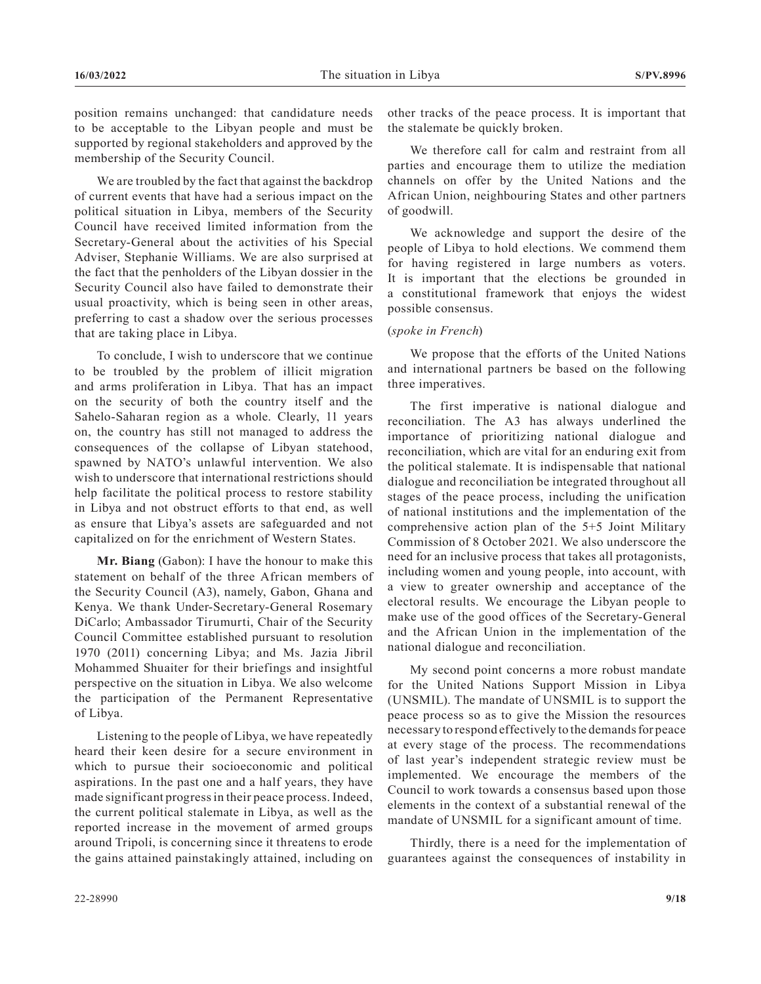position remains unchanged: that candidature needs to be acceptable to the Libyan people and must be supported by regional stakeholders and approved by the membership of the Security Council.

We are troubled by the fact that against the backdrop of current events that have had a serious impact on the political situation in Libya, members of the Security Council have received limited information from the Secretary-General about the activities of his Special Adviser, Stephanie Williams. We are also surprised at the fact that the penholders of the Libyan dossier in the Security Council also have failed to demonstrate their usual proactivity, which is being seen in other areas, preferring to cast a shadow over the serious processes that are taking place in Libya.

To conclude, I wish to underscore that we continue to be troubled by the problem of illicit migration and arms proliferation in Libya. That has an impact on the security of both the country itself and the Sahelo-Saharan region as a whole. Clearly, 11 years on, the country has still not managed to address the consequences of the collapse of Libyan statehood, spawned by NATO's unlawful intervention. We also wish to underscore that international restrictions should help facilitate the political process to restore stability in Libya and not obstruct efforts to that end, as well as ensure that Libya's assets are safeguarded and not capitalized on for the enrichment of Western States.

**Mr. Biang** (Gabon): I have the honour to make this statement on behalf of the three African members of the Security Council (A3), namely, Gabon, Ghana and Kenya. We thank Under-Secretary-General Rosemary DiCarlo; Ambassador Tirumurti, Chair of the Security Council Committee established pursuant to resolution 1970 (2011) concerning Libya; and Ms. Jazia Jibril Mohammed Shuaiter for their briefings and insightful perspective on the situation in Libya. We also welcome the participation of the Permanent Representative of Libya.

Listening to the people of Libya, we have repeatedly heard their keen desire for a secure environment in which to pursue their socioeconomic and political aspirations. In the past one and a half years, they have made significant progress in their peace process. Indeed, the current political stalemate in Libya, as well as the reported increase in the movement of armed groups around Tripoli, is concerning since it threatens to erode the gains attained painstakingly attained, including on other tracks of the peace process. It is important that the stalemate be quickly broken.

We therefore call for calm and restraint from all parties and encourage them to utilize the mediation channels on offer by the United Nations and the African Union, neighbouring States and other partners of goodwill.

We acknowledge and support the desire of the people of Libya to hold elections. We commend them for having registered in large numbers as voters. It is important that the elections be grounded in a constitutional framework that enjoys the widest possible consensus.

### (*spoke in French*)

We propose that the efforts of the United Nations and international partners be based on the following three imperatives.

The first imperative is national dialogue and reconciliation. The A3 has always underlined the importance of prioritizing national dialogue and reconciliation, which are vital for an enduring exit from the political stalemate. It is indispensable that national dialogue and reconciliation be integrated throughout all stages of the peace process, including the unification of national institutions and the implementation of the comprehensive action plan of the 5+5 Joint Military Commission of 8 October 2021. We also underscore the need for an inclusive process that takes all protagonists, including women and young people, into account, with a view to greater ownership and acceptance of the electoral results. We encourage the Libyan people to make use of the good offices of the Secretary-General and the African Union in the implementation of the national dialogue and reconciliation.

My second point concerns a more robust mandate for the United Nations Support Mission in Libya (UNSMIL). The mandate of UNSMIL is to support the peace process so as to give the Mission the resources necessary to respond effectively to the demands for peace at every stage of the process. The recommendations of last year's independent strategic review must be implemented. We encourage the members of the Council to work towards a consensus based upon those elements in the context of a substantial renewal of the mandate of UNSMIL for a significant amount of time.

Thirdly, there is a need for the implementation of guarantees against the consequences of instability in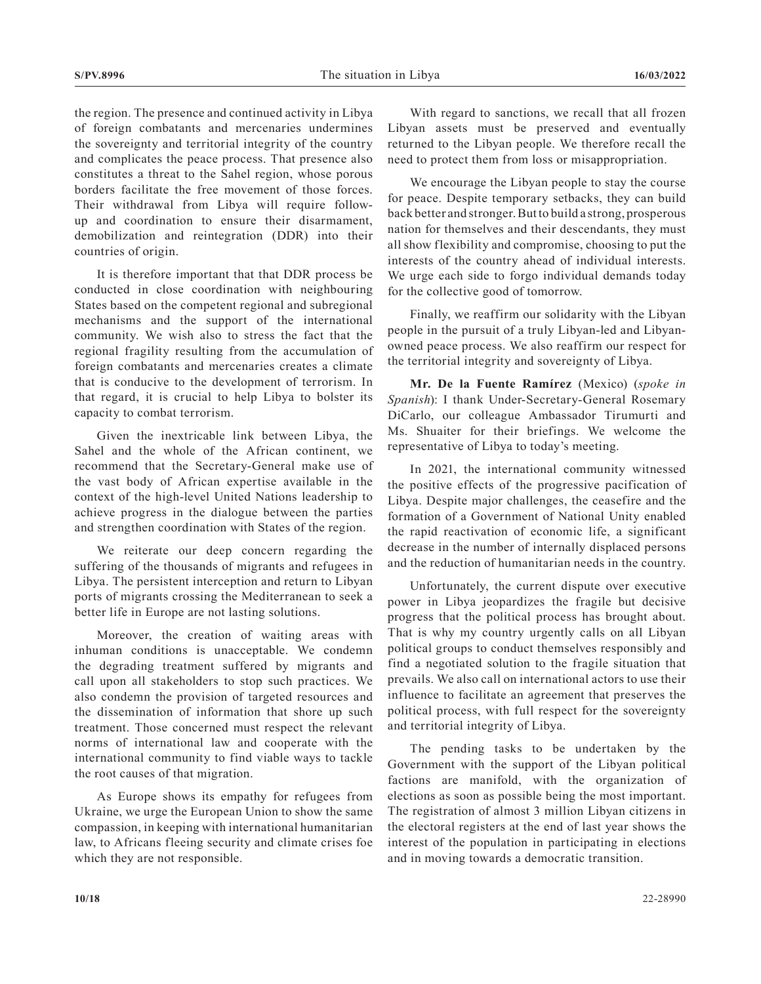the region. The presence and continued activity in Libya of foreign combatants and mercenaries undermines the sovereignty and territorial integrity of the country and complicates the peace process. That presence also constitutes a threat to the Sahel region, whose porous borders facilitate the free movement of those forces. Their withdrawal from Libya will require followup and coordination to ensure their disarmament, demobilization and reintegration (DDR) into their countries of origin.

It is therefore important that that DDR process be conducted in close coordination with neighbouring States based on the competent regional and subregional mechanisms and the support of the international community. We wish also to stress the fact that the regional fragility resulting from the accumulation of foreign combatants and mercenaries creates a climate that is conducive to the development of terrorism. In that regard, it is crucial to help Libya to bolster its capacity to combat terrorism.

Given the inextricable link between Libya, the Sahel and the whole of the African continent, we recommend that the Secretary-General make use of the vast body of African expertise available in the context of the high-level United Nations leadership to achieve progress in the dialogue between the parties and strengthen coordination with States of the region.

We reiterate our deep concern regarding the suffering of the thousands of migrants and refugees in Libya. The persistent interception and return to Libyan ports of migrants crossing the Mediterranean to seek a better life in Europe are not lasting solutions.

Moreover, the creation of waiting areas with inhuman conditions is unacceptable. We condemn the degrading treatment suffered by migrants and call upon all stakeholders to stop such practices. We also condemn the provision of targeted resources and the dissemination of information that shore up such treatment. Those concerned must respect the relevant norms of international law and cooperate with the international community to find viable ways to tackle the root causes of that migration.

As Europe shows its empathy for refugees from Ukraine, we urge the European Union to show the same compassion, in keeping with international humanitarian law, to Africans fleeing security and climate crises foe which they are not responsible.

With regard to sanctions, we recall that all frozen Libyan assets must be preserved and eventually returned to the Libyan people. We therefore recall the need to protect them from loss or misappropriation.

We encourage the Libyan people to stay the course for peace. Despite temporary setbacks, they can build back better and stronger. But to build a strong, prosperous nation for themselves and their descendants, they must all show flexibility and compromise, choosing to put the interests of the country ahead of individual interests. We urge each side to forgo individual demands today for the collective good of tomorrow.

Finally, we reaffirm our solidarity with the Libyan people in the pursuit of a truly Libyan-led and Libyanowned peace process. We also reaffirm our respect for the territorial integrity and sovereignty of Libya.

**Mr. De la Fuente Ramírez** (Mexico) (*spoke in Spanish*): I thank Under-Secretary-General Rosemary DiCarlo, our colleague Ambassador Tirumurti and Ms. Shuaiter for their briefings. We welcome the representative of Libya to today's meeting.

In 2021, the international community witnessed the positive effects of the progressive pacification of Libya. Despite major challenges, the ceasefire and the formation of a Government of National Unity enabled the rapid reactivation of economic life, a significant decrease in the number of internally displaced persons and the reduction of humanitarian needs in the country.

Unfortunately, the current dispute over executive power in Libya jeopardizes the fragile but decisive progress that the political process has brought about. That is why my country urgently calls on all Libyan political groups to conduct themselves responsibly and find a negotiated solution to the fragile situation that prevails. We also call on international actors to use their influence to facilitate an agreement that preserves the political process, with full respect for the sovereignty and territorial integrity of Libya.

The pending tasks to be undertaken by the Government with the support of the Libyan political factions are manifold, with the organization of elections as soon as possible being the most important. The registration of almost 3 million Libyan citizens in the electoral registers at the end of last year shows the interest of the population in participating in elections and in moving towards a democratic transition.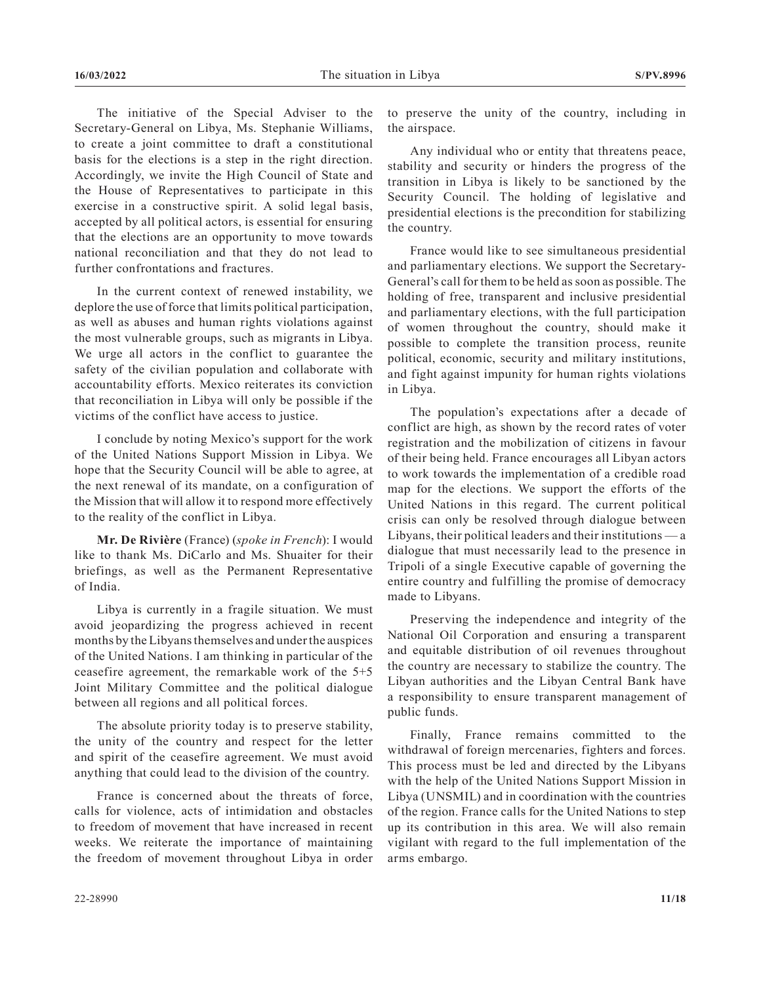The initiative of the Special Adviser to the Secretary-General on Libya, Ms. Stephanie Williams, to create a joint committee to draft a constitutional basis for the elections is a step in the right direction. Accordingly, we invite the High Council of State and the House of Representatives to participate in this exercise in a constructive spirit. A solid legal basis, accepted by all political actors, is essential for ensuring that the elections are an opportunity to move towards national reconciliation and that they do not lead to further confrontations and fractures.

In the current context of renewed instability, we deplore the use of force that limits political participation, as well as abuses and human rights violations against the most vulnerable groups, such as migrants in Libya. We urge all actors in the conflict to guarantee the safety of the civilian population and collaborate with accountability efforts. Mexico reiterates its conviction that reconciliation in Libya will only be possible if the victims of the conflict have access to justice.

I conclude by noting Mexico's support for the work of the United Nations Support Mission in Libya. We hope that the Security Council will be able to agree, at the next renewal of its mandate, on a configuration of the Mission that will allow it to respond more effectively to the reality of the conflict in Libya.

**Mr. De Rivière** (France) (*spoke in French*): I would like to thank Ms. DiCarlo and Ms. Shuaiter for their briefings, as well as the Permanent Representative of India.

Libya is currently in a fragile situation. We must avoid jeopardizing the progress achieved in recent months by the Libyans themselves and under the auspices of the United Nations. I am thinking in particular of the ceasefire agreement, the remarkable work of the 5+5 Joint Military Committee and the political dialogue between all regions and all political forces.

The absolute priority today is to preserve stability, the unity of the country and respect for the letter and spirit of the ceasefire agreement. We must avoid anything that could lead to the division of the country.

France is concerned about the threats of force, calls for violence, acts of intimidation and obstacles to freedom of movement that have increased in recent weeks. We reiterate the importance of maintaining the freedom of movement throughout Libya in order to preserve the unity of the country, including in the airspace.

Any individual who or entity that threatens peace, stability and security or hinders the progress of the transition in Libya is likely to be sanctioned by the Security Council. The holding of legislative and presidential elections is the precondition for stabilizing the country.

France would like to see simultaneous presidential and parliamentary elections. We support the Secretary-General's call for them to be held as soon as possible. The holding of free, transparent and inclusive presidential and parliamentary elections, with the full participation of women throughout the country, should make it possible to complete the transition process, reunite political, economic, security and military institutions, and fight against impunity for human rights violations in Libya.

The population's expectations after a decade of conflict are high, as shown by the record rates of voter registration and the mobilization of citizens in favour of their being held. France encourages all Libyan actors to work towards the implementation of a credible road map for the elections. We support the efforts of the United Nations in this regard. The current political crisis can only be resolved through dialogue between Libyans, their political leaders and their institutions — a dialogue that must necessarily lead to the presence in Tripoli of a single Executive capable of governing the entire country and fulfilling the promise of democracy made to Libyans.

Preserving the independence and integrity of the National Oil Corporation and ensuring a transparent and equitable distribution of oil revenues throughout the country are necessary to stabilize the country. The Libyan authorities and the Libyan Central Bank have a responsibility to ensure transparent management of public funds.

Finally, France remains committed to the withdrawal of foreign mercenaries, fighters and forces. This process must be led and directed by the Libyans with the help of the United Nations Support Mission in Libya (UNSMIL) and in coordination with the countries of the region. France calls for the United Nations to step up its contribution in this area. We will also remain vigilant with regard to the full implementation of the arms embargo.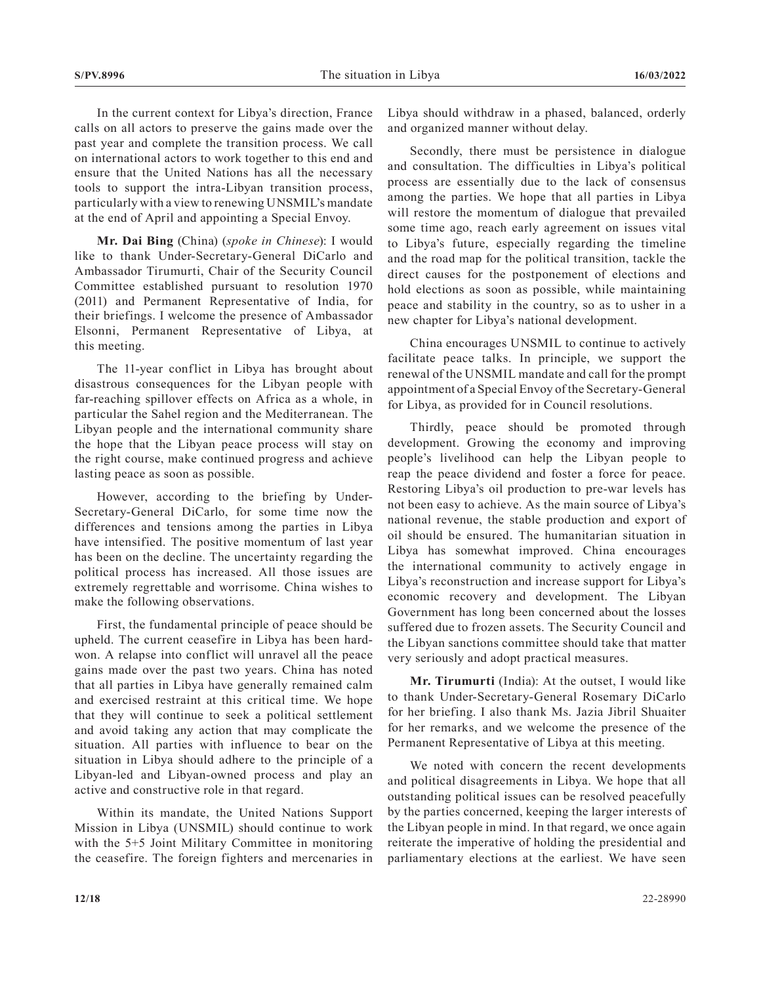In the current context for Libya's direction, France calls on all actors to preserve the gains made over the past year and complete the transition process. We call on international actors to work together to this end and ensure that the United Nations has all the necessary tools to support the intra-Libyan transition process, particularly with a view to renewing UNSMIL's mandate at the end of April and appointing a Special Envoy.

**Mr. Dai Bing** (China) (*spoke in Chinese*): I would like to thank Under-Secretary-General DiCarlo and Ambassador Tirumurti, Chair of the Security Council Committee established pursuant to resolution 1970 (2011) and Permanent Representative of India, for their briefings. I welcome the presence of Ambassador Elsonni, Permanent Representative of Libya, at this meeting.

The 11-year conflict in Libya has brought about disastrous consequences for the Libyan people with far-reaching spillover effects on Africa as a whole, in particular the Sahel region and the Mediterranean. The Libyan people and the international community share the hope that the Libyan peace process will stay on the right course, make continued progress and achieve lasting peace as soon as possible.

However, according to the briefing by Under-Secretary-General DiCarlo, for some time now the differences and tensions among the parties in Libya have intensified. The positive momentum of last year has been on the decline. The uncertainty regarding the political process has increased. All those issues are extremely regrettable and worrisome. China wishes to make the following observations.

First, the fundamental principle of peace should be upheld. The current ceasefire in Libya has been hardwon. A relapse into conflict will unravel all the peace gains made over the past two years. China has noted that all parties in Libya have generally remained calm and exercised restraint at this critical time. We hope that they will continue to seek a political settlement and avoid taking any action that may complicate the situation. All parties with influence to bear on the situation in Libya should adhere to the principle of a Libyan-led and Libyan-owned process and play an active and constructive role in that regard.

Within its mandate, the United Nations Support Mission in Libya (UNSMIL) should continue to work with the 5+5 Joint Military Committee in monitoring the ceasefire. The foreign fighters and mercenaries in

Libya should withdraw in a phased, balanced, orderly and organized manner without delay.

Secondly, there must be persistence in dialogue and consultation. The difficulties in Libya's political process are essentially due to the lack of consensus among the parties. We hope that all parties in Libya will restore the momentum of dialogue that prevailed some time ago, reach early agreement on issues vital to Libya's future, especially regarding the timeline and the road map for the political transition, tackle the direct causes for the postponement of elections and hold elections as soon as possible, while maintaining peace and stability in the country, so as to usher in a new chapter for Libya's national development.

China encourages UNSMIL to continue to actively facilitate peace talks. In principle, we support the renewal of the UNSMIL mandate and call for the prompt appointment of a Special Envoy of the Secretary-General for Libya, as provided for in Council resolutions.

Thirdly, peace should be promoted through development. Growing the economy and improving people's livelihood can help the Libyan people to reap the peace dividend and foster a force for peace. Restoring Libya's oil production to pre-war levels has not been easy to achieve. As the main source of Libya's national revenue, the stable production and export of oil should be ensured. The humanitarian situation in Libya has somewhat improved. China encourages the international community to actively engage in Libya's reconstruction and increase support for Libya's economic recovery and development. The Libyan Government has long been concerned about the losses suffered due to frozen assets. The Security Council and the Libyan sanctions committee should take that matter very seriously and adopt practical measures.

**Mr. Tirumurti** (India): At the outset, I would like to thank Under-Secretary-General Rosemary DiCarlo for her briefing. I also thank Ms. Jazia Jibril Shuaiter for her remarks, and we welcome the presence of the Permanent Representative of Libya at this meeting.

We noted with concern the recent developments and political disagreements in Libya. We hope that all outstanding political issues can be resolved peacefully by the parties concerned, keeping the larger interests of the Libyan people in mind. In that regard, we once again reiterate the imperative of holding the presidential and parliamentary elections at the earliest. We have seen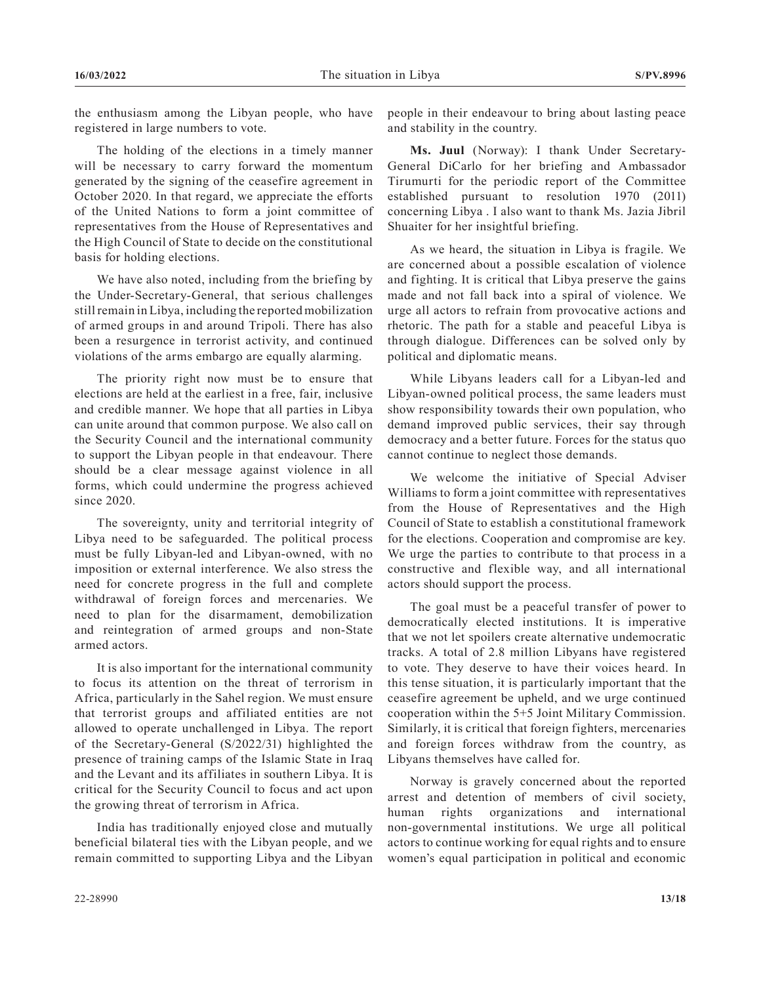the enthusiasm among the Libyan people, who have registered in large numbers to vote.

The holding of the elections in a timely manner will be necessary to carry forward the momentum generated by the signing of the ceasefire agreement in October 2020. In that regard, we appreciate the efforts of the United Nations to form a joint committee of representatives from the House of Representatives and the High Council of State to decide on the constitutional basis for holding elections.

We have also noted, including from the briefing by the Under-Secretary-General, that serious challenges still remain in Libya, including the reported mobilization of armed groups in and around Tripoli. There has also been a resurgence in terrorist activity, and continued violations of the arms embargo are equally alarming.

The priority right now must be to ensure that elections are held at the earliest in a free, fair, inclusive and credible manner. We hope that all parties in Libya can unite around that common purpose. We also call on the Security Council and the international community to support the Libyan people in that endeavour. There should be a clear message against violence in all forms, which could undermine the progress achieved since 2020.

The sovereignty, unity and territorial integrity of Libya need to be safeguarded. The political process must be fully Libyan-led and Libyan-owned, with no imposition or external interference. We also stress the need for concrete progress in the full and complete withdrawal of foreign forces and mercenaries. We need to plan for the disarmament, demobilization and reintegration of armed groups and non-State armed actors.

It is also important for the international community to focus its attention on the threat of terrorism in Africa, particularly in the Sahel region. We must ensure that terrorist groups and affiliated entities are not allowed to operate unchallenged in Libya. The report of the Secretary-General (S/2022/31) highlighted the presence of training camps of the Islamic State in Iraq and the Levant and its affiliates in southern Libya. It is critical for the Security Council to focus and act upon the growing threat of terrorism in Africa.

India has traditionally enjoyed close and mutually beneficial bilateral ties with the Libyan people, and we remain committed to supporting Libya and the Libyan people in their endeavour to bring about lasting peace and stability in the country.

**Ms. Juul** (Norway): I thank Under Secretary-General DiCarlo for her briefing and Ambassador Tirumurti for the periodic report of the Committee established pursuant to resolution 1970 (2011) concerning Libya . I also want to thank Ms. Jazia Jibril Shuaiter for her insightful briefing.

As we heard, the situation in Libya is fragile. We are concerned about a possible escalation of violence and fighting. It is critical that Libya preserve the gains made and not fall back into a spiral of violence. We urge all actors to refrain from provocative actions and rhetoric. The path for a stable and peaceful Libya is through dialogue. Differences can be solved only by political and diplomatic means.

While Libyans leaders call for a Libyan-led and Libyan-owned political process, the same leaders must show responsibility towards their own population, who demand improved public services, their say through democracy and a better future. Forces for the status quo cannot continue to neglect those demands.

We welcome the initiative of Special Adviser Williams to form a joint committee with representatives from the House of Representatives and the High Council of State to establish a constitutional framework for the elections. Cooperation and compromise are key. We urge the parties to contribute to that process in a constructive and flexible way, and all international actors should support the process.

The goal must be a peaceful transfer of power to democratically elected institutions. It is imperative that we not let spoilers create alternative undemocratic tracks. A total of 2.8 million Libyans have registered to vote. They deserve to have their voices heard. In this tense situation, it is particularly important that the ceasefire agreement be upheld, and we urge continued cooperation within the 5+5 Joint Military Commission. Similarly, it is critical that foreign fighters, mercenaries and foreign forces withdraw from the country, as Libyans themselves have called for.

Norway is gravely concerned about the reported arrest and detention of members of civil society, human rights organizations and international non-governmental institutions. We urge all political actors to continue working for equal rights and to ensure women's equal participation in political and economic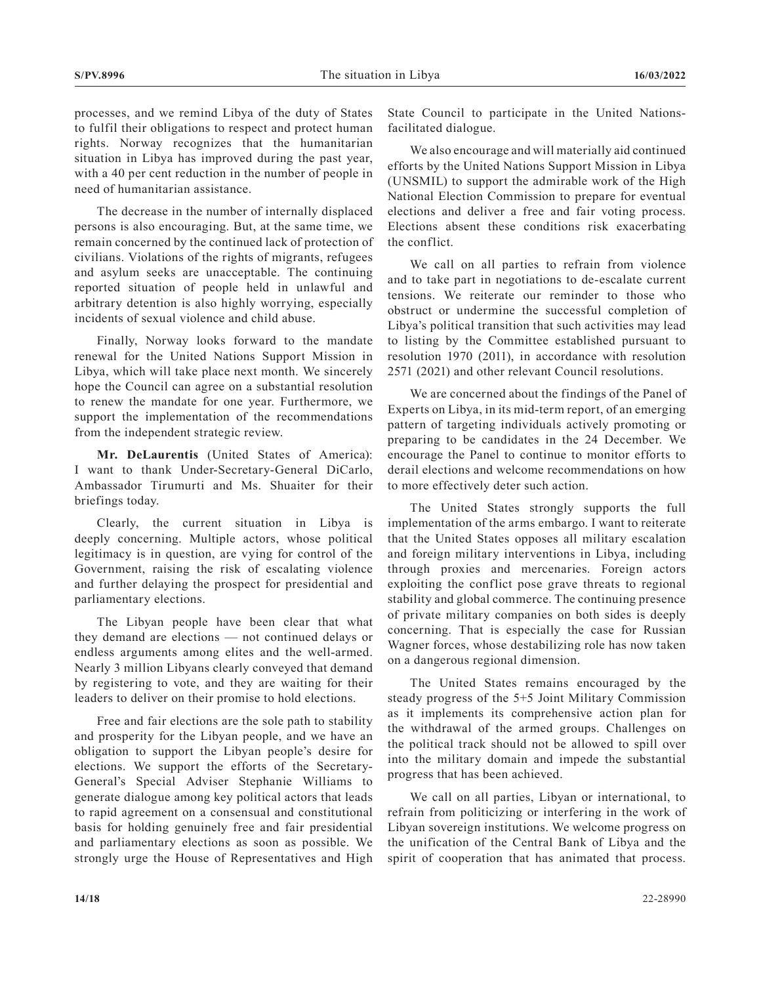processes, and we remind Libya of the duty of States to fulfil their obligations to respect and protect human rights. Norway recognizes that the humanitarian situation in Libya has improved during the past year, with a 40 per cent reduction in the number of people in need of humanitarian assistance.

The decrease in the number of internally displaced persons is also encouraging. But, at the same time, we remain concerned by the continued lack of protection of civilians. Violations of the rights of migrants, refugees and asylum seeks are unacceptable. The continuing reported situation of people held in unlawful and arbitrary detention is also highly worrying, especially incidents of sexual violence and child abuse.

Finally, Norway looks forward to the mandate renewal for the United Nations Support Mission in Libya, which will take place next month. We sincerely hope the Council can agree on a substantial resolution to renew the mandate for one year. Furthermore, we support the implementation of the recommendations from the independent strategic review.

**Mr. DeLaurentis** (United States of America): I want to thank Under-Secretary-General DiCarlo, Ambassador Tirumurti and Ms. Shuaiter for their briefings today.

Clearly, the current situation in Libya is deeply concerning. Multiple actors, whose political legitimacy is in question, are vying for control of the Government, raising the risk of escalating violence and further delaying the prospect for presidential and parliamentary elections.

The Libyan people have been clear that what they demand are elections — not continued delays or endless arguments among elites and the well-armed. Nearly 3 million Libyans clearly conveyed that demand by registering to vote, and they are waiting for their leaders to deliver on their promise to hold elections.

Free and fair elections are the sole path to stability and prosperity for the Libyan people, and we have an obligation to support the Libyan people's desire for elections. We support the efforts of the Secretary-General's Special Adviser Stephanie Williams to generate dialogue among key political actors that leads to rapid agreement on a consensual and constitutional basis for holding genuinely free and fair presidential and parliamentary elections as soon as possible. We strongly urge the House of Representatives and High State Council to participate in the United Nationsfacilitated dialogue.

We also encourage and will materially aid continued efforts by the United Nations Support Mission in Libya (UNSMIL) to support the admirable work of the High National Election Commission to prepare for eventual elections and deliver a free and fair voting process. Elections absent these conditions risk exacerbating the conflict.

We call on all parties to refrain from violence and to take part in negotiations to de-escalate current tensions. We reiterate our reminder to those who obstruct or undermine the successful completion of Libya's political transition that such activities may lead to listing by the Committee established pursuant to resolution 1970 (2011), in accordance with resolution 2571 (2021) and other relevant Council resolutions.

We are concerned about the findings of the Panel of Experts on Libya, in its mid-term report, of an emerging pattern of targeting individuals actively promoting or preparing to be candidates in the 24 December. We encourage the Panel to continue to monitor efforts to derail elections and welcome recommendations on how to more effectively deter such action.

The United States strongly supports the full implementation of the arms embargo. I want to reiterate that the United States opposes all military escalation and foreign military interventions in Libya, including through proxies and mercenaries. Foreign actors exploiting the conflict pose grave threats to regional stability and global commerce. The continuing presence of private military companies on both sides is deeply concerning. That is especially the case for Russian Wagner forces, whose destabilizing role has now taken on a dangerous regional dimension.

The United States remains encouraged by the steady progress of the 5+5 Joint Military Commission as it implements its comprehensive action plan for the withdrawal of the armed groups. Challenges on the political track should not be allowed to spill over into the military domain and impede the substantial progress that has been achieved.

We call on all parties, Libyan or international, to refrain from politicizing or interfering in the work of Libyan sovereign institutions. We welcome progress on the unification of the Central Bank of Libya and the spirit of cooperation that has animated that process.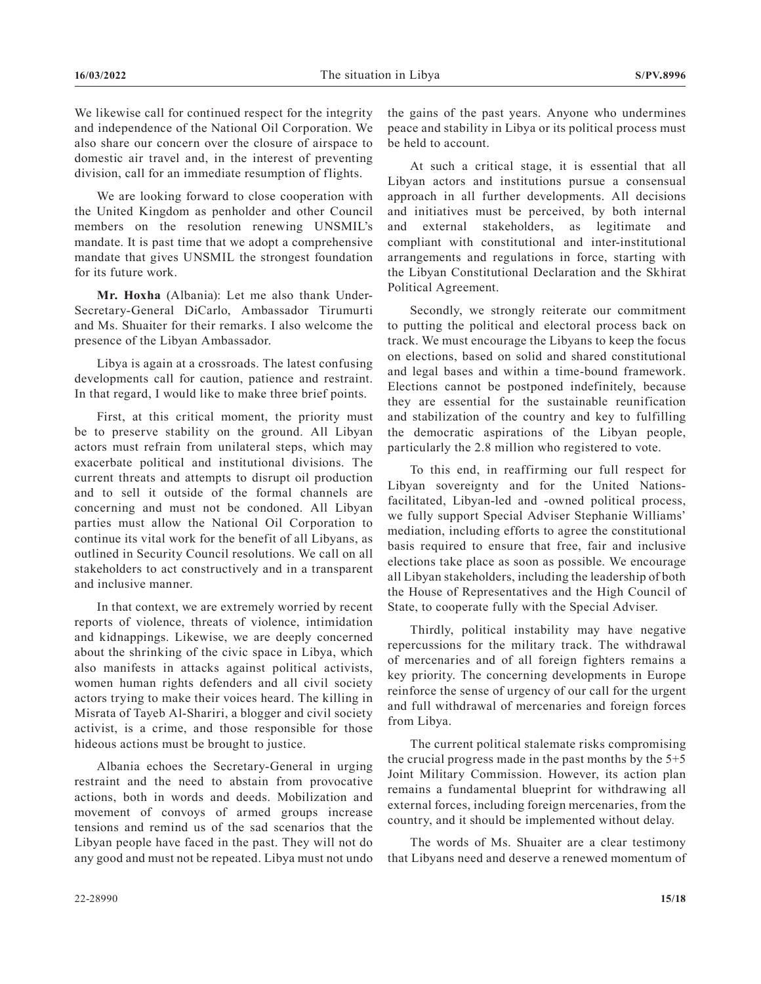We likewise call for continued respect for the integrity and independence of the National Oil Corporation. We also share our concern over the closure of airspace to domestic air travel and, in the interest of preventing division, call for an immediate resumption of flights.

We are looking forward to close cooperation with the United Kingdom as penholder and other Council members on the resolution renewing UNSMIL's mandate. It is past time that we adopt a comprehensive mandate that gives UNSMIL the strongest foundation for its future work.

**Mr. Hoxha** (Albania): Let me also thank Under-Secretary-General DiCarlo, Ambassador Tirumurti and Ms. Shuaiter for their remarks. I also welcome the presence of the Libyan Ambassador.

Libya is again at a crossroads. The latest confusing developments call for caution, patience and restraint. In that regard, I would like to make three brief points.

First, at this critical moment, the priority must be to preserve stability on the ground. All Libyan actors must refrain from unilateral steps, which may exacerbate political and institutional divisions. The current threats and attempts to disrupt oil production and to sell it outside of the formal channels are concerning and must not be condoned. All Libyan parties must allow the National Oil Corporation to continue its vital work for the benefit of all Libyans, as outlined in Security Council resolutions. We call on all stakeholders to act constructively and in a transparent and inclusive manner.

In that context, we are extremely worried by recent reports of violence, threats of violence, intimidation and kidnappings. Likewise, we are deeply concerned about the shrinking of the civic space in Libya, which also manifests in attacks against political activists, women human rights defenders and all civil society actors trying to make their voices heard. The killing in Misrata of Tayeb Al-Shariri, a blogger and civil society activist, is a crime, and those responsible for those hideous actions must be brought to justice.

Albania echoes the Secretary-General in urging restraint and the need to abstain from provocative actions, both in words and deeds. Mobilization and movement of convoys of armed groups increase tensions and remind us of the sad scenarios that the Libyan people have faced in the past. They will not do any good and must not be repeated. Libya must not undo

the gains of the past years. Anyone who undermines peace and stability in Libya or its political process must be held to account.

At such a critical stage, it is essential that all Libyan actors and institutions pursue a consensual approach in all further developments. All decisions and initiatives must be perceived, by both internal and external stakeholders, as legitimate and compliant with constitutional and inter-institutional arrangements and regulations in force, starting with the Libyan Constitutional Declaration and the Skhirat Political Agreement.

Secondly, we strongly reiterate our commitment to putting the political and electoral process back on track. We must encourage the Libyans to keep the focus on elections, based on solid and shared constitutional and legal bases and within a time-bound framework. Elections cannot be postponed indefinitely, because they are essential for the sustainable reunification and stabilization of the country and key to fulfilling the democratic aspirations of the Libyan people, particularly the 2.8 million who registered to vote.

To this end, in reaffirming our full respect for Libyan sovereignty and for the United Nationsfacilitated, Libyan-led and -owned political process, we fully support Special Adviser Stephanie Williams' mediation, including efforts to agree the constitutional basis required to ensure that free, fair and inclusive elections take place as soon as possible. We encourage all Libyan stakeholders, including the leadership of both the House of Representatives and the High Council of State, to cooperate fully with the Special Adviser.

Thirdly, political instability may have negative repercussions for the military track. The withdrawal of mercenaries and of all foreign fighters remains a key priority. The concerning developments in Europe reinforce the sense of urgency of our call for the urgent and full withdrawal of mercenaries and foreign forces from Libya.

The current political stalemate risks compromising the crucial progress made in the past months by the 5+5 Joint Military Commission. However, its action plan remains a fundamental blueprint for withdrawing all external forces, including foreign mercenaries, from the country, and it should be implemented without delay.

The words of Ms. Shuaiter are a clear testimony that Libyans need and deserve a renewed momentum of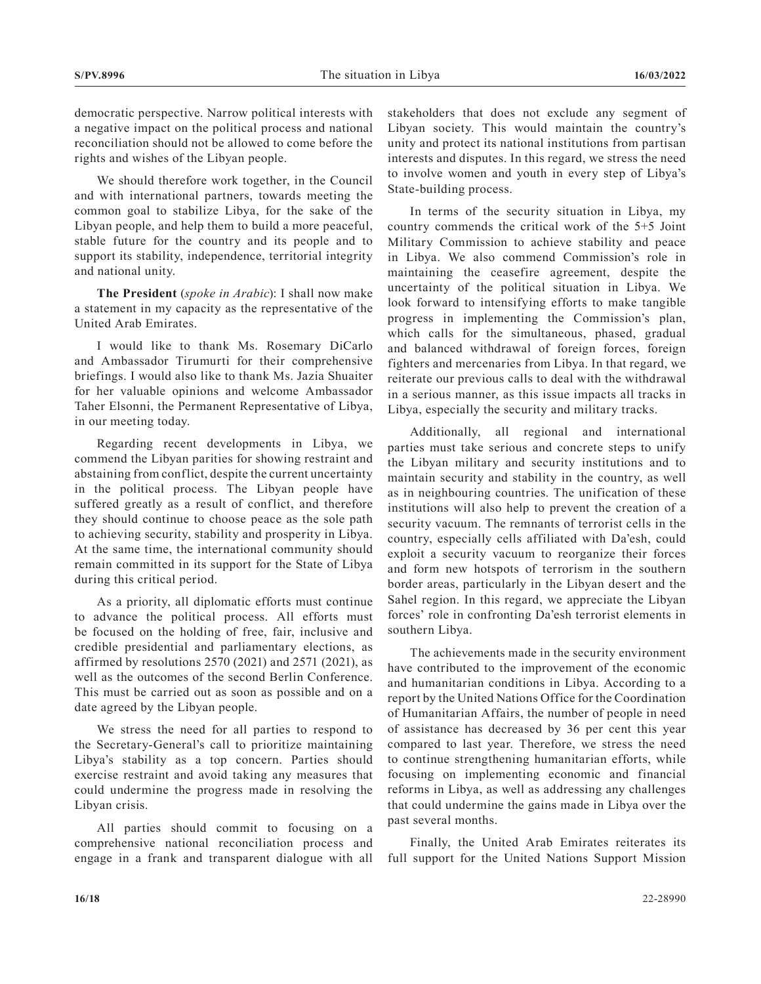democratic perspective. Narrow political interests with a negative impact on the political process and national reconciliation should not be allowed to come before the rights and wishes of the Libyan people.

We should therefore work together, in the Council and with international partners, towards meeting the common goal to stabilize Libya, for the sake of the Libyan people, and help them to build a more peaceful, stable future for the country and its people and to support its stability, independence, territorial integrity and national unity.

**The President** (*spoke in Arabic*): I shall now make a statement in my capacity as the representative of the United Arab Emirates.

I would like to thank Ms. Rosemary DiCarlo and Ambassador Tirumurti for their comprehensive briefings. I would also like to thank Ms. Jazia Shuaiter for her valuable opinions and welcome Ambassador Taher Elsonni, the Permanent Representative of Libya, in our meeting today.

Regarding recent developments in Libya, we commend the Libyan parities for showing restraint and abstaining from conflict, despite the current uncertainty in the political process. The Libyan people have suffered greatly as a result of conflict, and therefore they should continue to choose peace as the sole path to achieving security, stability and prosperity in Libya. At the same time, the international community should remain committed in its support for the State of Libya during this critical period.

As a priority, all diplomatic efforts must continue to advance the political process. All efforts must be focused on the holding of free, fair, inclusive and credible presidential and parliamentary elections, as affirmed by resolutions 2570 (2021) and 2571 (2021), as well as the outcomes of the second Berlin Conference. This must be carried out as soon as possible and on a date agreed by the Libyan people.

We stress the need for all parties to respond to the Secretary-General's call to prioritize maintaining Libya's stability as a top concern. Parties should exercise restraint and avoid taking any measures that could undermine the progress made in resolving the Libyan crisis.

All parties should commit to focusing on a comprehensive national reconciliation process and engage in a frank and transparent dialogue with all stakeholders that does not exclude any segment of Libyan society. This would maintain the country's unity and protect its national institutions from partisan interests and disputes. In this regard, we stress the need to involve women and youth in every step of Libya's State-building process.

In terms of the security situation in Libya, my country commends the critical work of the 5+5 Joint Military Commission to achieve stability and peace in Libya. We also commend Commission's role in maintaining the ceasefire agreement, despite the uncertainty of the political situation in Libya. We look forward to intensifying efforts to make tangible progress in implementing the Commission's plan, which calls for the simultaneous, phased, gradual and balanced withdrawal of foreign forces, foreign fighters and mercenaries from Libya. In that regard, we reiterate our previous calls to deal with the withdrawal in a serious manner, as this issue impacts all tracks in Libya, especially the security and military tracks.

Additionally, all regional and international parties must take serious and concrete steps to unify the Libyan military and security institutions and to maintain security and stability in the country, as well as in neighbouring countries. The unification of these institutions will also help to prevent the creation of a security vacuum. The remnants of terrorist cells in the country, especially cells affiliated with Da'esh, could exploit a security vacuum to reorganize their forces and form new hotspots of terrorism in the southern border areas, particularly in the Libyan desert and the Sahel region. In this regard, we appreciate the Libyan forces' role in confronting Da'esh terrorist elements in southern Libya.

The achievements made in the security environment have contributed to the improvement of the economic and humanitarian conditions in Libya. According to a report by the United Nations Office for the Coordination of Humanitarian Affairs, the number of people in need of assistance has decreased by 36 per cent this year compared to last year. Therefore, we stress the need to continue strengthening humanitarian efforts, while focusing on implementing economic and financial reforms in Libya, as well as addressing any challenges that could undermine the gains made in Libya over the past several months.

Finally, the United Arab Emirates reiterates its full support for the United Nations Support Mission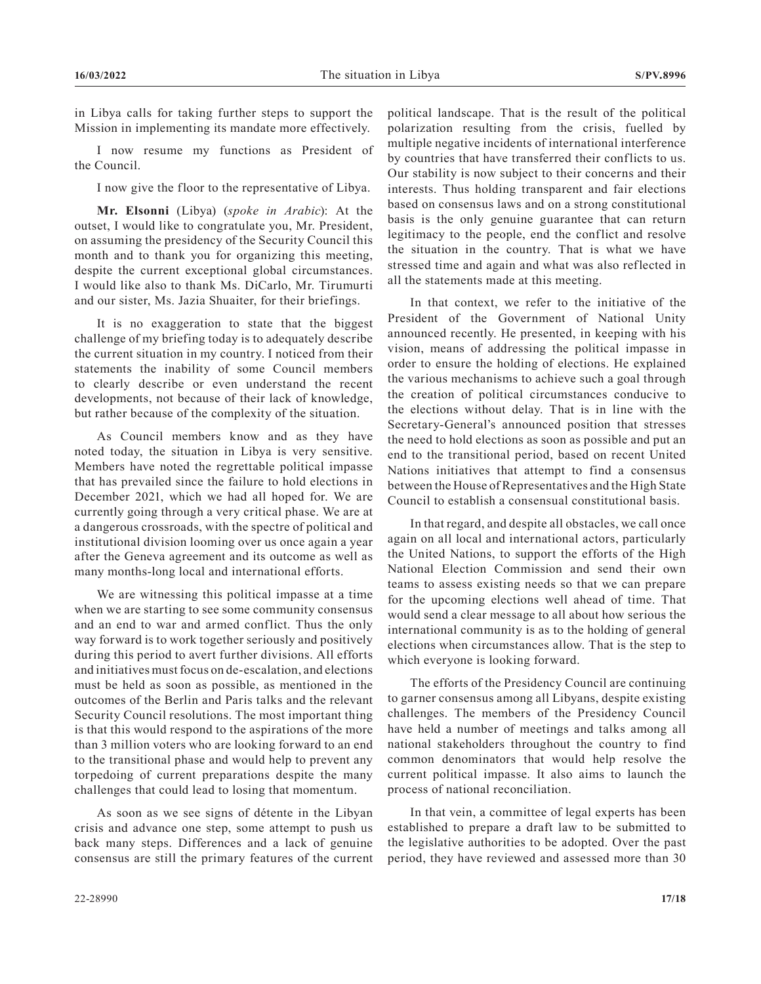in Libya calls for taking further steps to support the Mission in implementing its mandate more effectively.

I now resume my functions as President of the Council.

I now give the floor to the representative of Libya.

**Mr. Elsonni** (Libya) (*spoke in Arabic*): At the outset, I would like to congratulate you, Mr. President, on assuming the presidency of the Security Council this month and to thank you for organizing this meeting, despite the current exceptional global circumstances. I would like also to thank Ms. DiCarlo, Mr. Tirumurti and our sister, Ms. Jazia Shuaiter, for their briefings.

It is no exaggeration to state that the biggest challenge of my briefing today is to adequately describe the current situation in my country. I noticed from their statements the inability of some Council members to clearly describe or even understand the recent developments, not because of their lack of knowledge, but rather because of the complexity of the situation.

As Council members know and as they have noted today, the situation in Libya is very sensitive. Members have noted the regrettable political impasse that has prevailed since the failure to hold elections in December 2021, which we had all hoped for. We are currently going through a very critical phase. We are at a dangerous crossroads, with the spectre of political and institutional division looming over us once again a year after the Geneva agreement and its outcome as well as many months-long local and international efforts.

We are witnessing this political impasse at a time when we are starting to see some community consensus and an end to war and armed conflict. Thus the only way forward is to work together seriously and positively during this period to avert further divisions. All efforts and initiatives must focus on de-escalation, and elections must be held as soon as possible, as mentioned in the outcomes of the Berlin and Paris talks and the relevant Security Council resolutions. The most important thing is that this would respond to the aspirations of the more than 3 million voters who are looking forward to an end to the transitional phase and would help to prevent any torpedoing of current preparations despite the many challenges that could lead to losing that momentum.

As soon as we see signs of détente in the Libyan crisis and advance one step, some attempt to push us back many steps. Differences and a lack of genuine consensus are still the primary features of the current political landscape. That is the result of the political polarization resulting from the crisis, fuelled by multiple negative incidents of international interference by countries that have transferred their conflicts to us. Our stability is now subject to their concerns and their interests. Thus holding transparent and fair elections based on consensus laws and on a strong constitutional basis is the only genuine guarantee that can return legitimacy to the people, end the conflict and resolve the situation in the country. That is what we have stressed time and again and what was also reflected in all the statements made at this meeting.

In that context, we refer to the initiative of the President of the Government of National Unity announced recently. He presented, in keeping with his vision, means of addressing the political impasse in order to ensure the holding of elections. He explained the various mechanisms to achieve such a goal through the creation of political circumstances conducive to the elections without delay. That is in line with the Secretary-General's announced position that stresses the need to hold elections as soon as possible and put an end to the transitional period, based on recent United Nations initiatives that attempt to find a consensus between the House of Representatives and the High State Council to establish a consensual constitutional basis.

In that regard, and despite all obstacles, we call once again on all local and international actors, particularly the United Nations, to support the efforts of the High National Election Commission and send their own teams to assess existing needs so that we can prepare for the upcoming elections well ahead of time. That would send a clear message to all about how serious the international community is as to the holding of general elections when circumstances allow. That is the step to which everyone is looking forward.

The efforts of the Presidency Council are continuing to garner consensus among all Libyans, despite existing challenges. The members of the Presidency Council have held a number of meetings and talks among all national stakeholders throughout the country to find common denominators that would help resolve the current political impasse. It also aims to launch the process of national reconciliation.

In that vein, a committee of legal experts has been established to prepare a draft law to be submitted to the legislative authorities to be adopted. Over the past period, they have reviewed and assessed more than 30